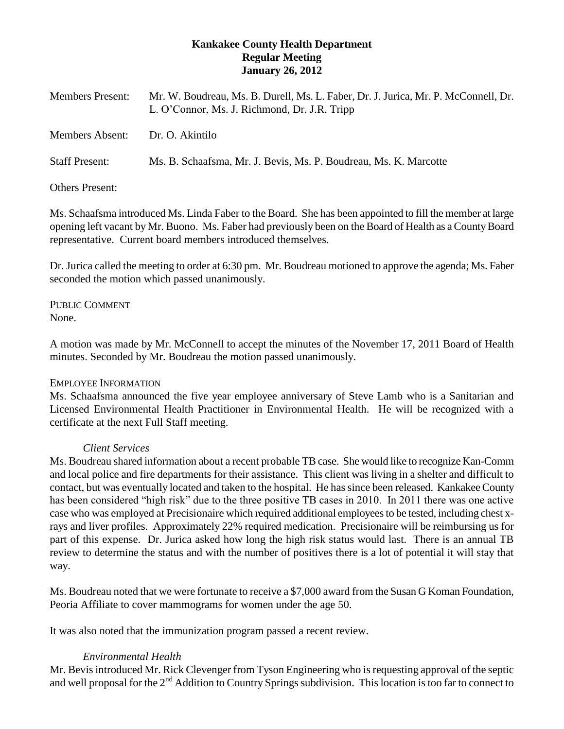## **Kankakee County Health Department Regular Meeting January 26, 2012**

| <b>Members Present:</b> | Mr. W. Boudreau, Ms. B. Durell, Ms. L. Faber, Dr. J. Jurica, Mr. P. McConnell, Dr.<br>L. O'Connor, Ms. J. Richmond, Dr. J.R. Tripp |
|-------------------------|------------------------------------------------------------------------------------------------------------------------------------|
| <b>Members Absent:</b>  | Dr. O. Akintilo                                                                                                                    |
| <b>Staff Present:</b>   | Ms. B. Schaafsma, Mr. J. Bevis, Ms. P. Boudreau, Ms. K. Marcotte                                                                   |
| <b>Others Present:</b>  |                                                                                                                                    |

Ms. Schaafsma introduced Ms. Linda Faber to the Board. She has been appointed to fill the member at large opening left vacant by Mr. Buono. Ms. Faber had previously been on the Board of Health as a County Board representative. Current board members introduced themselves.

Dr. Jurica called the meeting to order at 6:30 pm. Mr. Boudreau motioned to approve the agenda; Ms. Faber seconded the motion which passed unanimously.

PUBLIC COMMENT None.

A motion was made by Mr. McConnell to accept the minutes of the November 17, 2011 Board of Health minutes. Seconded by Mr. Boudreau the motion passed unanimously.

## EMPLOYEE INFORMATION

Ms. Schaafsma announced the five year employee anniversary of Steve Lamb who is a Sanitarian and Licensed Environmental Health Practitioner in Environmental Health. He will be recognized with a certificate at the next Full Staff meeting.

## *Client Services*

Ms. Boudreau shared information about a recent probable TB case. She would like to recognize Kan-Comm and local police and fire departments for their assistance. This client was living in a shelter and difficult to contact, but was eventually located and taken to the hospital. He has since been released. Kankakee County has been considered "high risk" due to the three positive TB cases in 2010. In 2011 there was one active case who was employed at Precisionaire which required additional employees to be tested, including chest xrays and liver profiles. Approximately 22% required medication. Precisionaire will be reimbursing us for part of this expense. Dr. Jurica asked how long the high risk status would last. There is an annual TB review to determine the status and with the number of positives there is a lot of potential it will stay that way.

Ms. Boudreau noted that we were fortunate to receive a \$7,000 award from the Susan G Koman Foundation, Peoria Affiliate to cover mammograms for women under the age 50.

It was also noted that the immunization program passed a recent review.

## *Environmental Health*

Mr. Bevis introduced Mr. Rick Clevenger from Tyson Engineering who is requesting approval of the septic and well proposal for the 2<sup>nd</sup> Addition to Country Springs subdivision. This location is too far to connect to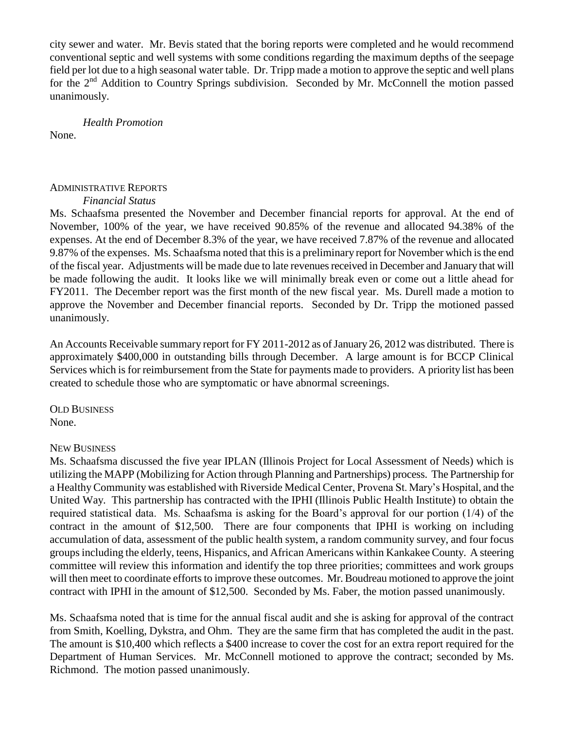city sewer and water. Mr. Bevis stated that the boring reports were completed and he would recommend conventional septic and well systems with some conditions regarding the maximum depths of the seepage field per lot due to a high seasonal water table. Dr. Tripp made a motion to approve the septic and well plans for the 2<sup>nd</sup> Addition to Country Springs subdivision. Seconded by Mr. McConnell the motion passed unanimously.

*Health Promotion*

None.

# ADMINISTRATIVE REPORTS

*Financial Status*

Ms. Schaafsma presented the November and December financial reports for approval. At the end of November, 100% of the year, we have received 90.85% of the revenue and allocated 94.38% of the expenses. At the end of December 8.3% of the year, we have received 7.87% of the revenue and allocated 9.87% of the expenses. Ms. Schaafsma noted that this is a preliminary report for November which is the end of the fiscal year. Adjustments will be made due to late revenues received in December and January that will be made following the audit. It looks like we will minimally break even or come out a little ahead for FY2011. The December report was the first month of the new fiscal year. Ms. Durell made a motion to approve the November and December financial reports. Seconded by Dr. Tripp the motioned passed unanimously.

An Accounts Receivable summary report for FY 2011-2012 as of January 26, 2012 was distributed. There is approximately \$400,000 in outstanding bills through December. A large amount is for BCCP Clinical Services which is for reimbursement from the State for payments made to providers. A priority list has been created to schedule those who are symptomatic or have abnormal screenings.

OLD BUSINESS None.

## NEW BUSINESS

Ms. Schaafsma discussed the five year IPLAN (Illinois Project for Local Assessment of Needs) which is utilizing the MAPP (Mobilizing for Action through Planning and Partnerships) process. The Partnership for a Healthy Community was established with Riverside Medical Center, Provena St. Mary's Hospital, and the United Way. This partnership has contracted with the IPHI (Illinois Public Health Institute) to obtain the required statistical data. Ms. Schaafsma is asking for the Board's approval for our portion (1/4) of the contract in the amount of \$12,500. There are four components that IPHI is working on including accumulation of data, assessment of the public health system, a random community survey, and four focus groups including the elderly, teens, Hispanics, and African Americans within Kankakee County. A steering committee will review this information and identify the top three priorities; committees and work groups will then meet to coordinate efforts to improve these outcomes. Mr. Boudreau motioned to approve the joint contract with IPHI in the amount of \$12,500. Seconded by Ms. Faber, the motion passed unanimously.

Ms. Schaafsma noted that is time for the annual fiscal audit and she is asking for approval of the contract from Smith, Koelling, Dykstra, and Ohm. They are the same firm that has completed the audit in the past. The amount is \$10,400 which reflects a \$400 increase to cover the cost for an extra report required for the Department of Human Services. Mr. McConnell motioned to approve the contract; seconded by Ms. Richmond. The motion passed unanimously.